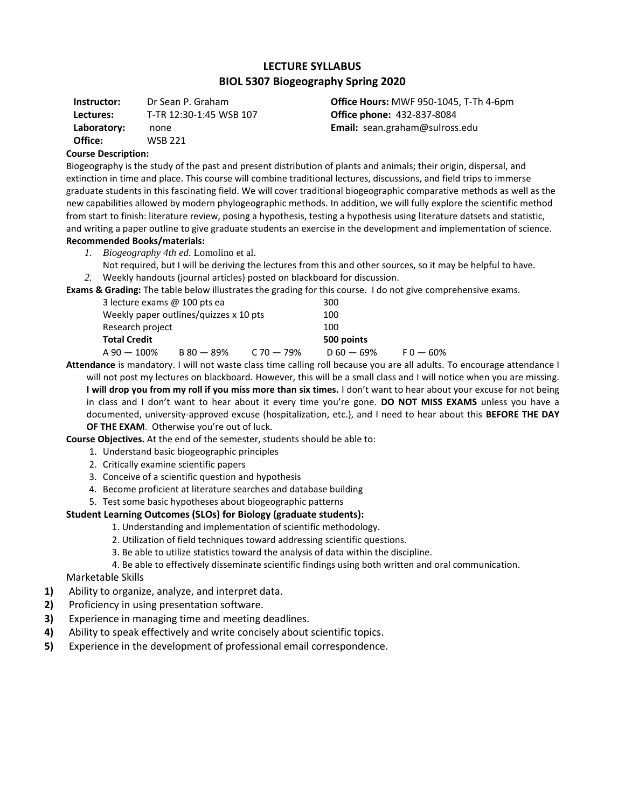# **LECTURE SYLLABUS BIOL 5307 Biogeography Spring 2020**

**Instructor:** Dr Sean P. Graham **Lectures:** T-TR 12:30-1:45 WSB 107 **Laboratory:** none **Office:** WSB 221

**Office Hours:** MWF 950-1045, T-Th 4-6pm **Office phone:** 432-837-8084 **Email:** sean.graham@sulross.edu

### **Course Description:**

Biogeography is the study of the past and present distribution of plants and animals; their origin, dispersal, and extinction in time and place. This course will combine traditional lectures, discussions, and field trips to immerse graduate students in this fascinating field. We will cover traditional biogeographic comparative methods as well as the new capabilities allowed by modern phylogeographic methods. In addition, we will fully explore the scientific method from start to finish: literature review, posing a hypothesis, testing a hypothesis using literature datsets and statistic, and writing a paper outline to give graduate students an exercise in the development and implementation of science. **Recommended Books/materials:**

- *1. Biogeography 4th ed*. Lomolino et al.
- Not required, but I will be deriving the lectures from this and other sources, so it may be helpful to have.
- *2.* Weekly handouts (journal articles) posted on blackboard for discussion.

**Exams & Grading:** The table below illustrates the grading for this course. I do not give comprehensive exams.

| 3 lecture exams @ 100 pts ea |                                        |                | 300          |             |
|------------------------------|----------------------------------------|----------------|--------------|-------------|
|                              | Weekly paper outlines/quizzes x 10 pts |                | 100          |             |
| Research project             |                                        |                | 100          |             |
| Total Credit                 |                                        |                | 500 points   |             |
| A 90 — 100%                  | $B 80 - 89%$                           | $C$ 70 $-$ 79% | $D 60 - 69%$ | $F_0 - 60%$ |

**Attendance** is mandatory. I will not waste class time calling roll because you are all adults. To encourage attendance I will not post my lectures on blackboard. However, this will be a small class and I will notice when you are missing. **I will drop you from my roll if you miss more than six times.** I don't want to hear about your excuse for not being in class and I don't want to hear about it every time you're gone. **DO NOT MISS EXAMS** unless you have a documented, university-approved excuse (hospitalization, etc.), and I need to hear about this **BEFORE THE DAY OF THE EXAM**. Otherwise you're out of luck.

#### **Course Objectives.** At the end of the semester, students should be able to:

- 1. Understand basic biogeographic principles
- 2. Critically examine scientific papers
- 3. Conceive of a scientific question and hypothesis
- 4. Become proficient at literature searches and database building
- 5. Test some basic hypotheses about biogeographic patterns

#### **Student Learning Outcomes (SLOs) for Biology (graduate students):**

- 1. Understanding and implementation of scientific methodology.
- 2. Utilization of field techniques toward addressing scientific questions.
- 3. Be able to utilize statistics toward the analysis of data within the discipline.

4. Be able to effectively disseminate scientific findings using both written and oral communication.

Marketable Skills

- **1)** Ability to organize, analyze, and interpret data.
- **2)** Proficiency in using presentation software.
- **3)** Experience in managing time and meeting deadlines.
- **4)** Ability to speak effectively and write concisely about scientific topics.
- **5)** Experience in the development of professional email correspondence.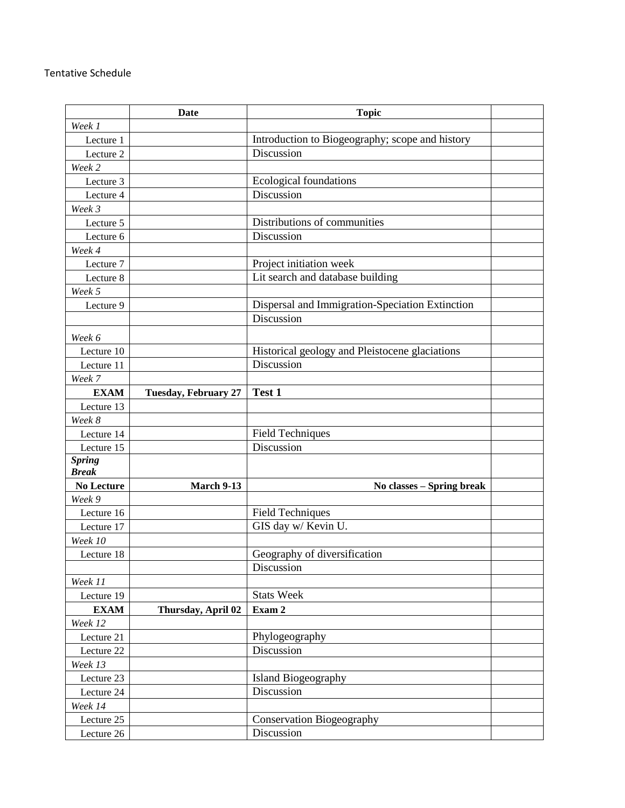## Tentative Schedule

|                   | Date                        | <b>Topic</b>                                    |  |
|-------------------|-----------------------------|-------------------------------------------------|--|
| Week 1            |                             |                                                 |  |
| Lecture 1         |                             | Introduction to Biogeography; scope and history |  |
| Lecture 2         |                             | Discussion                                      |  |
| Week 2            |                             |                                                 |  |
| Lecture 3         |                             | Ecological foundations                          |  |
| Lecture 4         |                             | Discussion                                      |  |
| Week 3            |                             |                                                 |  |
| Lecture 5         |                             | Distributions of communities                    |  |
| Lecture 6         |                             | Discussion                                      |  |
| Week 4            |                             |                                                 |  |
| Lecture 7         |                             | Project initiation week                         |  |
| Lecture 8         |                             | Lit search and database building                |  |
| Week 5            |                             |                                                 |  |
| Lecture 9         |                             | Dispersal and Immigration-Speciation Extinction |  |
|                   |                             | Discussion                                      |  |
| Week 6            |                             |                                                 |  |
| Lecture 10        |                             | Historical geology and Pleistocene glaciations  |  |
| Lecture 11        |                             | Discussion                                      |  |
| Week 7            |                             |                                                 |  |
| <b>EXAM</b>       | <b>Tuesday, February 27</b> | Test 1                                          |  |
| Lecture 13        |                             |                                                 |  |
| Week 8            |                             |                                                 |  |
| Lecture 14        |                             | <b>Field Techniques</b>                         |  |
| Lecture 15        |                             | Discussion                                      |  |
| <b>Spring</b>     |                             |                                                 |  |
| <b>Break</b>      |                             |                                                 |  |
| <b>No Lecture</b> | <b>March 9-13</b>           | No classes – Spring break                       |  |
| Week 9            |                             |                                                 |  |
| Lecture 16        |                             | <b>Field Techniques</b>                         |  |
| Lecture 17        |                             | GIS day w/ Kevin U.                             |  |
| Week 10           |                             |                                                 |  |
| Lecture 18        |                             | Geography of diversification                    |  |
|                   |                             | Discussion                                      |  |
| Week 11           |                             |                                                 |  |
| Lecture 19        |                             | <b>Stats Week</b>                               |  |
| <b>EXAM</b>       | Thursday, April 02          | Exam 2                                          |  |
| Week 12           |                             |                                                 |  |
| Lecture 21        |                             | Phylogeography                                  |  |
| Lecture 22        |                             | Discussion                                      |  |
| Week 13           |                             |                                                 |  |
| Lecture 23        |                             | <b>Island Biogeography</b>                      |  |
| Lecture 24        |                             | Discussion                                      |  |
| Week 14           |                             |                                                 |  |
| Lecture 25        |                             | <b>Conservation Biogeography</b>                |  |
| Lecture 26        |                             | Discussion                                      |  |